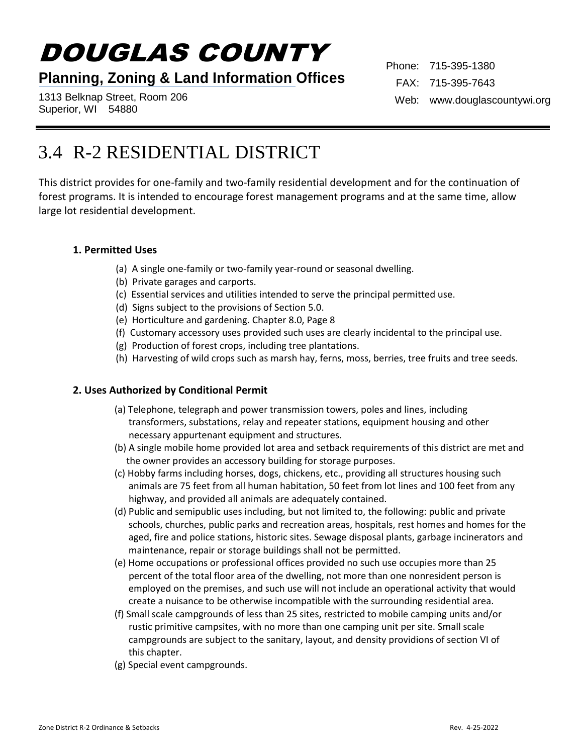# DOUGLAS COUNTY

## **Planning, Zoning & Land Information Offices**

1313 Belknap Street, Room 206 Superior, WI 54880

Phone: 715-395-1380 FAX: 715-395-7643 Web: www.douglascountywi.org

# 3.4 R-2 RESIDENTIAL DISTRICT

This district provides for one-family and two-family residential development and for the continuation of forest programs. It is intended to encourage forest management programs and at the same time, allow large lot residential development.

#### **1. Permitted Uses**

- (a) A single one-family or two-family year-round or seasonal dwelling.
- (b) Private garages and carports.
- (c) Essential services and utilities intended to serve the principal permitted use.
- (d) Signs subject to the provisions of Section 5.0.
- (e) Horticulture and gardening. Chapter 8.0, Page 8
- (f) Customary accessory uses provided such uses are clearly incidental to the principal use.
- (g) Production of forest crops, including tree plantations.
- (h) Harvesting of wild crops such as marsh hay, ferns, moss, berries, tree fruits and tree seeds.

#### **2. Uses Authorized by Conditional Permit**

- (a) Telephone, telegraph and power transmission towers, poles and lines, including transformers, substations, relay and repeater stations, equipment housing and other necessary appurtenant equipment and structures.
- (b) A single mobile home provided lot area and setback requirements of this district are met and the owner provides an accessory building for storage purposes.
- (c) Hobby farms including horses, dogs, chickens, etc., providing all structures housing such animals are 75 feet from all human habitation, 50 feet from lot lines and 100 feet from any highway, and provided all animals are adequately contained.
- (d) Public and semipublic uses including, but not limited to, the following: public and private schools, churches, public parks and recreation areas, hospitals, rest homes and homes for the aged, fire and police stations, historic sites. Sewage disposal plants, garbage incinerators and maintenance, repair or storage buildings shall not be permitted.
- (e) Home occupations or professional offices provided no such use occupies more than 25 percent of the total floor area of the dwelling, not more than one nonresident person is employed on the premises, and such use will not include an operational activity that would create a nuisance to be otherwise incompatible with the surrounding residential area.
- (f) Small scale campgrounds of less than 25 sites, restricted to mobile camping units and/or rustic primitive campsites, with no more than one camping unit per site. Small scale campgrounds are subject to the sanitary, layout, and density providions of section VI of this chapter.
- (g) Special event campgrounds.